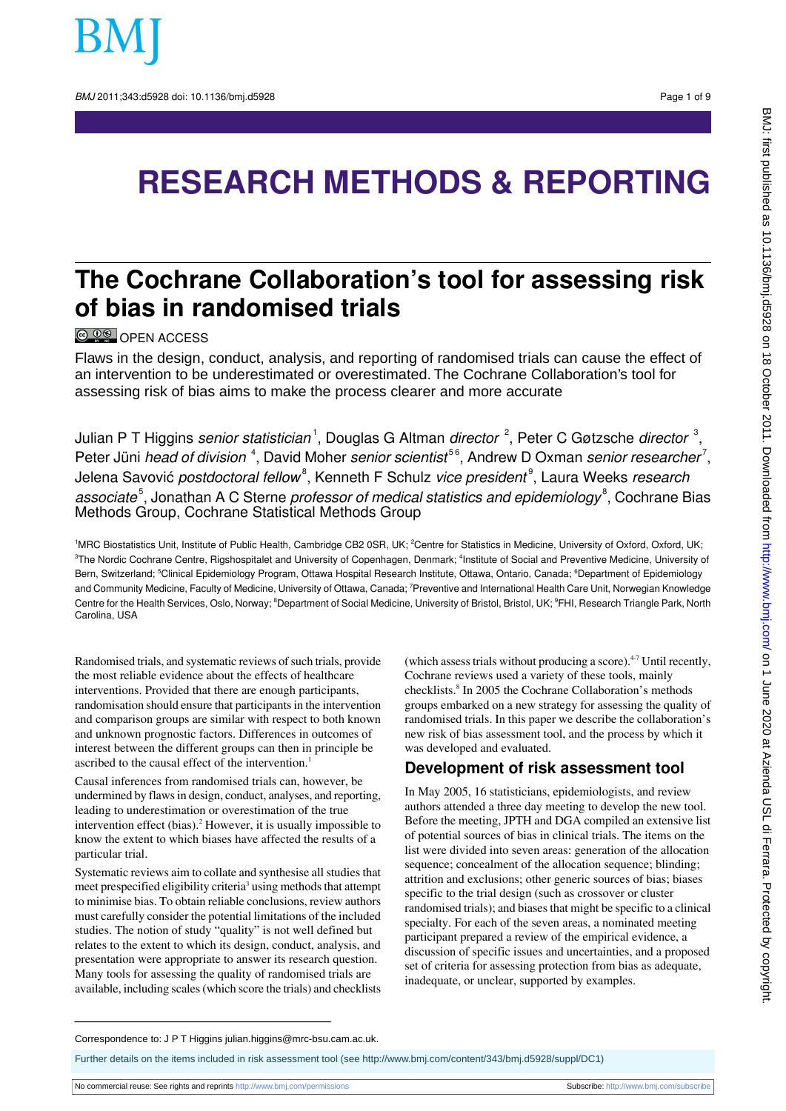# **RESEARCH METHODS & REPORTING**

## **The Cochrane Collaboration's tool for assessing risk of bias in randomised trials**

COO OPEN ACCESS

Flaws in the design, conduct, analysis, and reporting of randomised trials can cause the effect of an intervention to be underestimated or overestimated. The Cochrane Collaboration's tool for assessing risk of bias aims to make the process clearer and more accurate

Julian P T Higgins *senior statistician*  $^1$ , Douglas G Altman *director*  $^2$ , Peter C Gøtzsche *director*  $^3$ , Peter Jüni *head of division*  $^4$ *, David Moher senior scientist* $^{56}$ *, Andrew D Oxman <i>senior researcher* $^7$ *,* Jelena Savović *postdoctoral fellow*<sup>8</sup>, Kenneth F Schulz *vice president*  $^{\circ}$ , Laura Weeks *research* associate<sup>5</sup>, Jonathan A C Sterne *professor of medical statistics and epidemiology*<sup>8</sup>, Cochrane Bias Methods Group, Cochrane Statistical Methods Group

<sup>1</sup>MRC Biostatistics Unit, Institute of Public Health, Cambridge CB2 0SR, UK; <sup>2</sup>Centre for Statistics in Medicine, University of Oxford, Oxford, UK; <sup>3</sup>The Nordic Cochrane Centre, Rigshospitalet and University of Copenhagen, Denmark; <sup>4</sup>Institute of Social and Preventive Medicine, University of Bern, Switzerland; <sup>5</sup>Clinical Epidemiology Program, Ottawa Hospital Research Institute, Ottawa, Ontario, Canada; <sup>6</sup>Department of Epidemiology and Community Medicine, Faculty of Medicine, University of Ottawa, Canada; 7Preventive and International Health Care Unit, Norwegian Knowledge Centre for the Health Services, Oslo, Norway; <sup>8</sup>Department of Social Medicine, University of Bristol, Bristol, UK; <sup>9</sup>FHI, Research Triangle Park, North Carolina, USA

Randomised trials, and systematic reviews of such trials, provide the most reliable evidence about the effects of healthcare interventions. Provided that there are enough participants, randomisation should ensure that participants in the intervention and comparison groups are similar with respect to both known and unknown prognostic factors. Differences in outcomes of interest between the different groups can then in principle be ascribed to the causal effect of the intervention.

Causal inferences from randomised trials can, however, be undermined by flaws in design, conduct, analyses, and reporting, leading to underestimation or overestimation of the true intervention effect (bias).<sup>2</sup> However, it is usually impossible to know the extent to which biases have affected the results of a particular trial.

Systematic reviews aim to collate and synthesise all studies that meet prespecified eligibility criteria<sup>3</sup> using methods that attempt to minimise bias. To obtain reliable conclusions, review authors must carefully consider the potential limitations of the included studies. The notion of study "quality" is not well defined but relates to the extent to which its design, conduct, analysis, and presentation were appropriate to answer its research question. Many tools for assessing the quality of randomised trials are available, including scales (which score the trials) and checklists

(which assess trials without producing a score). $4-7$  Until recently, Cochrane reviews used a variety of these tools, mainly checklists.<sup>8</sup> In 2005 the Cochrane Collaboration's methods groups embarked on a new strategy for assessing the quality of randomised trials. In this paper we describe the collaboration's new risk of bias assessment tool, and the process by which it was developed and evaluated.

### **Development of risk assessment tool**

In May 2005, 16 statisticians, epidemiologists, and review authors attended a three day meeting to develop the new tool. Before the meeting, JPTH and DGA compiled an extensive list of potential sources of bias in clinical trials. The items on the list were divided into seven areas: generation of the allocation sequence; concealment of the allocation sequence; blinding; attrition and exclusions; other generic sources of bias; biases specific to the trial design (such as crossover or cluster randomised trials); and biases that might be specific to a clinical specialty. For each of the seven areas, a nominated meeting participant prepared a review of the empirical evidence, a discussion of specific issues and uncertainties, and a proposed set of criteria for assessing protection from bias as adequate, inadequate, or unclear, supported by examples.

Further details on the items included in risk assessment tool (see <http://www.bmj.com/content/343/bmj.d5928/suppl/DC1>)

Correspondence to: J P T Higgins julian.higgins@mrc-bsu.cam.ac.uk.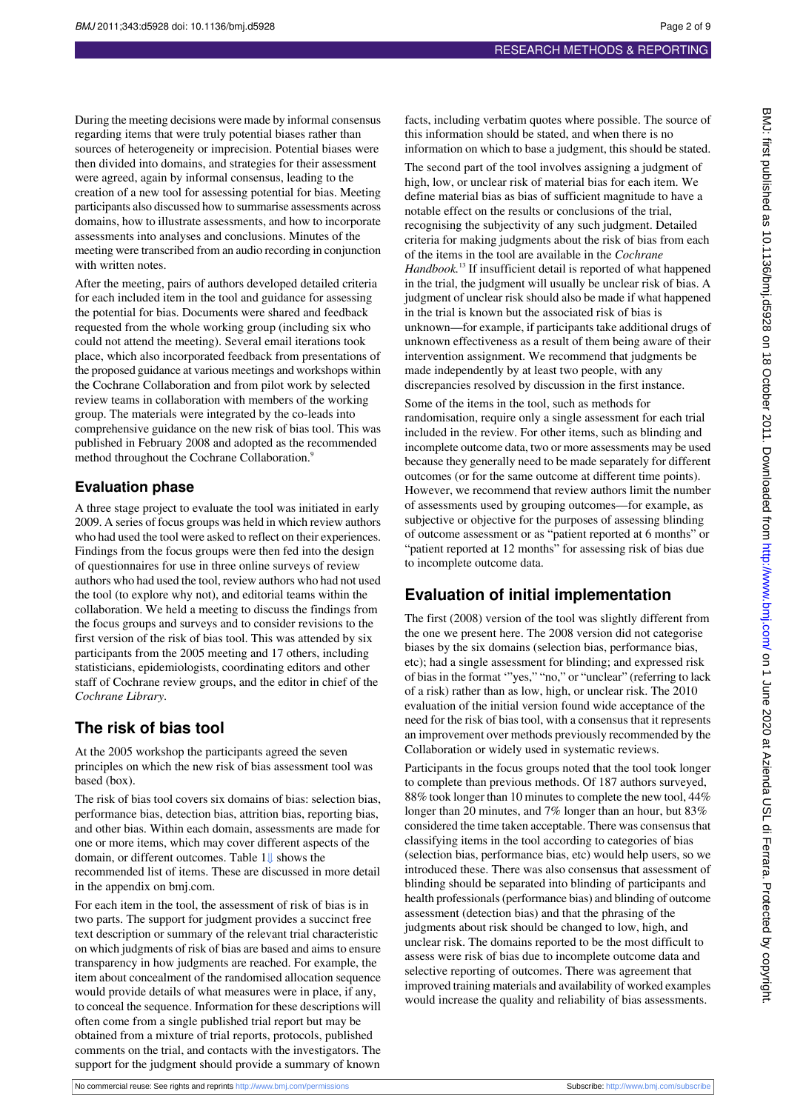During the meeting decisions were made by informal consensus regarding items that were truly potential biases rather than sources of heterogeneity or imprecision. Potential biases were then divided into domains, and strategies for their assessment were agreed, again by informal consensus, leading to the creation of a new tool for assessing potential for bias. Meeting participants also discussed how to summarise assessments across domains, how to illustrate assessments, and how to incorporate assessments into analyses and conclusions. Minutes of the meeting were transcribed from an audio recording in conjunction with written notes.

After the meeting, pairs of authors developed detailed criteria for each included item in the tool and guidance for assessing the potential for bias. Documents were shared and feedback requested from the whole working group (including six who could not attend the meeting). Several email iterations took place, which also incorporated feedback from presentations of the proposed guidance at various meetings and workshops within the Cochrane Collaboration and from pilot work by selected review teams in collaboration with members of the working group. The materials were integrated by the co-leads into comprehensive guidance on the new risk of bias tool. This was published in February 2008 and adopted as the recommended method throughout the Cochrane Collaboration.<sup>9</sup>

### **Evaluation phase**

A three stage project to evaluate the tool was initiated in early 2009. A series of focus groups was held in which review authors who had used the tool were asked to reflect on their experiences. Findings from the focus groups were then fed into the design of questionnaires for use in three online surveys of review authors who had used the tool, review authors who had not used the tool (to explore why not), and editorial teams within the collaboration. We held a meeting to discuss the findings from the focus groups and surveys and to consider revisions to the first version of the risk of bias tool. This was attended by six participants from the 2005 meeting and 17 others, including statisticians, epidemiologists, coordinating editors and other staff of Cochrane review groups, and the editor in chief of the *Cochrane Library*.

### **The risk of bias tool**

At the 2005 workshop the participants agreed the seven principles on which the new risk of bias assessment tool was based (box).

The risk of bias tool covers six domains of bias: selection bias, performance bias, detection bias, attrition bias, reporting bias, and other bias. Within each domain, assessments are made for one or more items, which may cover different aspects of the domain, or different outcomes. Table [1⇓](#page-5-0) shows the recommended list of items. These are discussed in more detail in the appendix on bmj.com.

For each item in the tool, the assessment of risk of bias is in two parts. The support for judgment provides a succinct free text description or summary of the relevant trial characteristic on which judgments of risk of bias are based and aims to ensure transparency in how judgments are reached. For example, the item about concealment of the randomised allocation sequence would provide details of what measures were in place, if any, to conceal the sequence. Information for these descriptions will often come from a single published trial report but may be obtained from a mixture of trial reports, protocols, published comments on the trial, and contacts with the investigators. The support for the judgment should provide a summary of known

facts, including verbatim quotes where possible. The source of this information should be stated, and when there is no information on which to base a judgment, this should be stated.

The second part of the tool involves assigning a judgment of high, low, or unclear risk of material bias for each item. We define material bias as bias of sufficient magnitude to have a notable effect on the results or conclusions of the trial, recognising the subjectivity of any such judgment. Detailed criteria for making judgments about the risk of bias from each of the items in the tool are available in the *Cochrane Handbook.*<sup>13</sup> If insufficient detail is reported of what happened in the trial, the judgment will usually be unclear risk of bias. A judgment of unclear risk should also be made if what happened in the trial is known but the associated risk of bias is unknown—for example, if participants take additional drugs of unknown effectiveness as a result of them being aware of their intervention assignment. We recommend that judgments be made independently by at least two people, with any discrepancies resolved by discussion in the first instance.

Some of the items in the tool, such as methods for randomisation, require only a single assessment for each trial included in the review. For other items, such as blinding and incomplete outcome data, two or more assessments may be used because they generally need to be made separately for different outcomes (or for the same outcome at different time points). However, we recommend that review authors limit the number of assessments used by grouping outcomes—for example, as subjective or objective for the purposes of assessing blinding of outcome assessment or as "patient reported at 6 months" or "patient reported at 12 months" for assessing risk of bias due to incomplete outcome data.

### **Evaluation of initial implementation**

The first (2008) version of the tool was slightly different from the one we present here. The 2008 version did not categorise biases by the six domains (selection bias, performance bias, etc); had a single assessment for blinding; and expressed risk of bias in the format '"yes," "no," or "unclear" (referring to lack of a risk) rather than as low, high, or unclear risk. The 2010 evaluation of the initial version found wide acceptance of the need for the risk of bias tool, with a consensus that it represents an improvement over methods previously recommended by the Collaboration or widely used in systematic reviews.

Participants in the focus groups noted that the tool took longer to complete than previous methods. Of 187 authors surveyed, 88% took longer than 10 minutes to complete the new tool, 44% longer than 20 minutes, and 7% longer than an hour, but 83% considered the time taken acceptable. There was consensus that classifying items in the tool according to categories of bias (selection bias, performance bias, etc) would help users, so we introduced these. There was also consensus that assessment of blinding should be separated into blinding of participants and health professionals (performance bias) and blinding of outcome assessment (detection bias) and that the phrasing of the judgments about risk should be changed to low, high, and unclear risk. The domains reported to be the most difficult to assess were risk of bias due to incomplete outcome data and selective reporting of outcomes. There was agreement that improved training materials and availability of worked examples would increase the quality and reliability of bias assessments.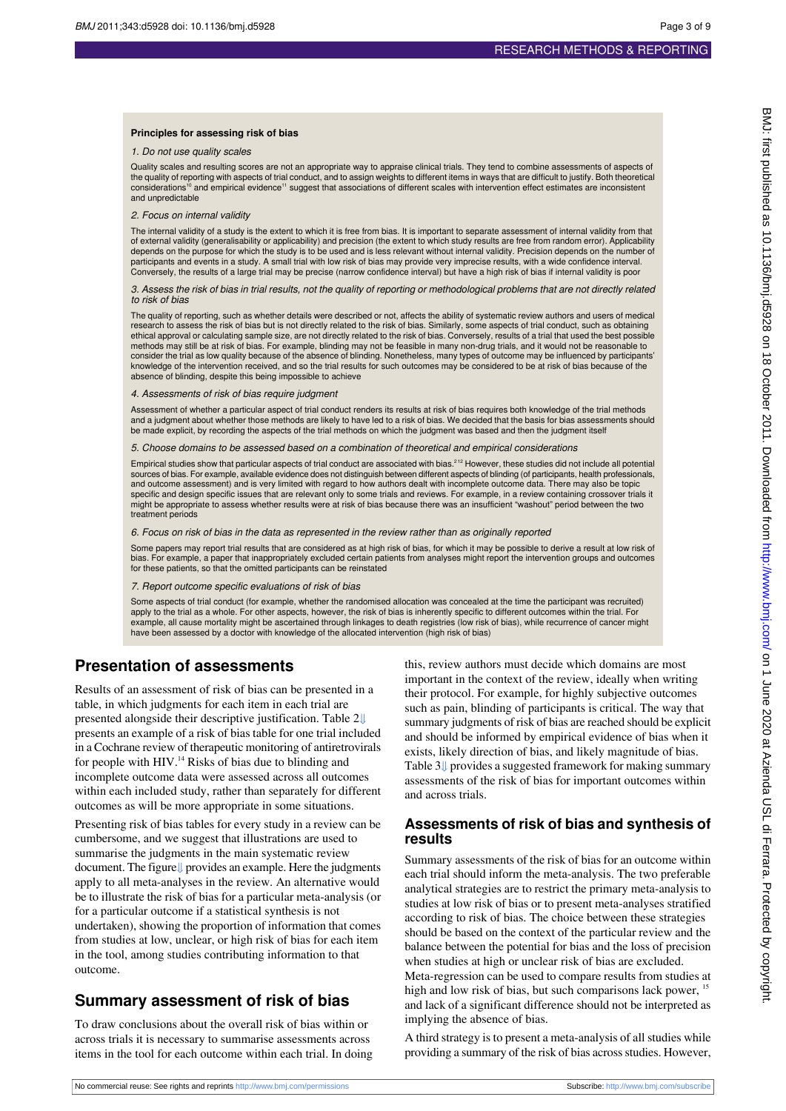### **Principles for assessing risk of bias**

#### 1. Do not use quality scales

Quality scales and resulting scores are not an appropriate way to appraise clinical trials. They tend to combine assessments of aspects of the quality of reporting with aspects of trial conduct, and to assign weights to different items in ways that are difficult to justify. Both theoretical considerations<sup>10</sup> and empirical evidence<sup>11</sup> suggest that associations of different scales with intervention effect estimates are inconsistent and unpredictable

### 2. Focus on internal validity

The internal validity of a study is the extent to which it is free from bias. It is important to separate assessment of internal validity from that<br>of external validity (generalisability or applicability) and precision (th depends on the purpose for which the study is to be used and is less relevant without internal validity. Precision depends on the number of participants and events in a study. A small trial with low risk of bias may provide very imprecise results, with a wide confidence interval.<br>Conversely, the results of a large trial may be precise (narrow confidence interv

3. Assess the risk of bias in trial results, not the quality of reporting or methodological problems that are not directly related to risk of bias

The quality of reporting, such as whether details were described or not, affects the ability of systematic review authors and users of medical research to assess the risk of bias but is not directly related to the risk of bias. Similarly, some aspects of trial conduct, such as obtaining ethical approval or calculating sample size, are not directly related to the risk of bias. Conversely, results of a trial that used the best possible methods may still be at risk of bias. For example, blinding may not be feasible in many non-drug trials, and it would not be reasonable to<br>consider the trial as low quality because of the absence of blinding. Nonetheless, knowledge of the intervention received, and so the trial results for such outcomes may be considered to be at risk of bias because of the absence of blinding, despite this being impossible to achieve

#### 4. Assessments of risk of bias require judgment

Assessment of whether a particular aspect of trial conduct renders its results at risk of bias requires both knowledge of the trial methods and a judgment about whether those methods are likely to have led to a risk of bias. We decided that the basis for bias assessments should be made explicit, by recording the aspects of the trial methods on which the judgment was based and then the judgment itself

5. Choose domains to be assessed based on a combination of theoretical and empirical considerations

Empirical studies show that particular aspects of trial conduct are associated with bias.<sup>212</sup> However, these studies did not include all potential sources of bias. For example, available evidence does not distinguish between different aspects of blinding (of participants, health professionals, and outcome assessment) and is very limited with regard to how authors dealt with incomplete outcome data. There may also be topic specific and design specific issues that are relevant only to some trials and reviews. For example, in a review containing crossover trials it<br>might be appropriate to assess whether results were at risk of bias because the treatment periods

#### 6. Focus on risk of bias in the data as represented in the review rather than as originally reported

Some papers may report trial results that are considered as at high risk of bias, for which it may be possible to derive a result at low risk of bias. For example, a paper that inappropriately excluded certain patients from analyses might report the intervention groups and outcomes for these patients, so that the omitted participants can be reinstated

7. Report outcome specific evaluations of risk of bias

Some aspects of trial conduct (for example, whether the randomised allocation was concealed at the time the participant was recruited) apply to the trial as a whole. For other aspects, however, the risk of bias is inherently specific to different outcomes within the trial. For example, all cause mortality might be ascertained through linkages to death registries (low risk of bias), while recurrence of cancer might have been assessed by a doctor with knowledge of the allocated intervention (high risk of bias)

### **Presentation of assessments**

Results of an assessment of risk of bias can be presented in a table, in which judgments for each item in each trial are presented alongside their descriptive justification. Table [2⇓](#page-6-0) presents an example of a risk of bias table for one trial included in a Cochrane review of therapeutic monitoring of antiretrovirals for people with HIV.<sup>14</sup> Risks of bias due to blinding and incomplete outcome data were assessed across all outcomes within each included study, rather than separately for different outcomes as will be more appropriate in some situations.

Presenting risk of bias tables for every study in a review can be cumbersome, and we suggest that illustrations are used to summarise the judgments in the main systematic review document. The figur[e⇓](#page-8-0) provides an example. Here the judgments apply to all meta-analyses in the review. An alternative would be to illustrate the risk of bias for a particular meta-analysis (or for a particular outcome if a statistical synthesis is not undertaken), showing the proportion of information that comes from studies at low, unclear, or high risk of bias for each item in the tool, among studies contributing information to that outcome.

### **Summary assessment of risk of bias**

To draw conclusions about the overall risk of bias within or across trials it is necessary to summarise assessments across items in the tool for each outcome within each trial. In doing

this, review authors must decide which domains are most important in the context of the review, ideally when writing their protocol. For example, for highly subjective outcomes such as pain, blinding of participants is critical. The way that summary judgments of risk of bias are reached should be explicit and should be informed by empirical evidence of bias when it exists, likely direction of bias, and likely magnitude of bias. Table [3⇓](#page-7-0) provides a suggested framework for making summary assessments of the risk of bias for important outcomes within and across trials.

### **Assessments of risk of bias and synthesis of results**

Summary assessments of the risk of bias for an outcome within each trial should inform the meta-analysis. The two preferable analytical strategies are to restrict the primary meta-analysis to studies at low risk of bias or to present meta-analyses stratified according to risk of bias. The choice between these strategies should be based on the context of the particular review and the balance between the potential for bias and the loss of precision when studies at high or unclear risk of bias are excluded.

Meta-regression can be used to compare results from studies at high and low risk of bias, but such comparisons lack power, <sup>15</sup> and lack of a significant difference should not be interpreted as implying the absence of bias.

A third strategy is to present a meta-analysis of all studies while providing a summary of the risk of bias across studies. However,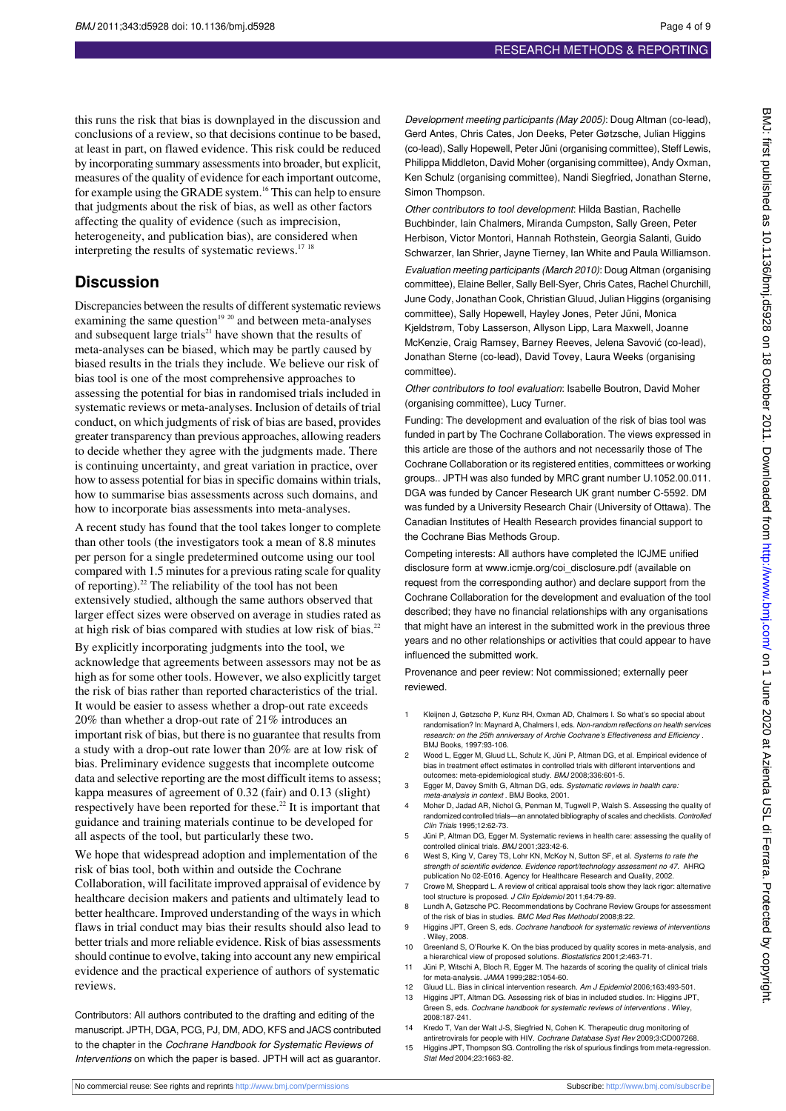this runs the risk that bias is downplayed in the discussion and conclusions of a review, so that decisions continue to be based, at least in part, on flawed evidence. This risk could be reduced by incorporating summary assessments into broader, but explicit, measures of the quality of evidence for each important outcome, for example using the GRADE system.<sup>16</sup> This can help to ensure that judgments about the risk of bias, as well as other factors affecting the quality of evidence (such as imprecision, heterogeneity, and publication bias), are considered when interpreting the results of systematic reviews.<sup>17</sup><sup>18</sup>

### **Discussion**

Discrepancies between the results of different systematic reviews examining the same question $1920$  and between meta-analyses and subsequent large trials<sup>21</sup> have shown that the results of meta-analyses can be biased, which may be partly caused by biased results in the trials they include. We believe our risk of bias tool is one of the most comprehensive approaches to assessing the potential for bias in randomised trials included in systematic reviews or meta-analyses. Inclusion of details of trial conduct, on which judgments of risk of bias are based, provides greater transparency than previous approaches, allowing readers to decide whether they agree with the judgments made. There is continuing uncertainty, and great variation in practice, over how to assess potential for bias in specific domains within trials, how to summarise bias assessments across such domains, and how to incorporate bias assessments into meta-analyses.

A recent study has found that the tool takes longer to complete than other tools (the investigators took a mean of 8.8 minutes per person for a single predetermined outcome using our tool compared with 1.5 minutes for a previous rating scale for quality of reporting). $^{22}$  The reliability of the tool has not been extensively studied, although the same authors observed that larger effect sizes were observed on average in studies rated as at high risk of bias compared with studies at low risk of bias.<sup>22</sup>

By explicitly incorporating judgments into the tool, we acknowledge that agreements between assessors may not be as high as for some other tools. However, we also explicitly target the risk of bias rather than reported characteristics of the trial. It would be easier to assess whether a drop-out rate exceeds 20% than whether a drop-out rate of 21% introduces an important risk of bias, but there is no guarantee that results from a study with a drop-out rate lower than 20% are at low risk of bias. Preliminary evidence suggests that incomplete outcome data and selective reporting are the most difficult items to assess; kappa measures of agreement of 0.32 (fair) and 0.13 (slight) respectively have been reported for these.<sup>22</sup> It is important that guidance and training materials continue to be developed for all aspects of the tool, but particularly these two.

We hope that widespread adoption and implementation of the risk of bias tool, both within and outside the Cochrane Collaboration, will facilitate improved appraisal of evidence by healthcare decision makers and patients and ultimately lead to better healthcare. Improved understanding of the ways in which flaws in trial conduct may bias their results should also lead to better trials and more reliable evidence. Risk of bias assessments should continue to evolve, taking into account any new empirical evidence and the practical experience of authors of systematic reviews.

Contributors: All authors contributed to the drafting and editing of the manuscript. JPTH, DGA, PCG, PJ, DM, ADO, KFS and JACS contributed to the chapter in the Cochrane Handbook for Systematic Reviews of Interventions on which the paper is based. JPTH will act as guarantor.

Development meeting participants (May 2005): Doug Altman (co-lead), Gerd Antes, Chris Cates, Jon Deeks, Peter Gøtzsche, Julian Higgins (co-lead), Sally Hopewell, Peter Jüni (organising committee), Steff Lewis, Philippa Middleton, David Moher (organising committee), Andy Oxman, Ken Schulz (organising committee), Nandi Siegfried, Jonathan Sterne, Simon Thompson.

Other contributors to tool development: Hilda Bastian, Rachelle Buchbinder, Iain Chalmers, Miranda Cumpston, Sally Green, Peter Herbison, Victor Montori, Hannah Rothstein, Georgia Salanti, Guido Schwarzer, Ian Shrier, Jayne Tierney, Ian White and Paula Williamson. Evaluation meeting participants (March 2010): Doug Altman (organising committee), Elaine Beller, Sally Bell-Syer, Chris Cates, Rachel Churchill, June Cody, Jonathan Cook, Christian Gluud, Julian Higgins (organising committee), Sally Hopewell, Hayley Jones, Peter Jűni, Monica Kjeldstrøm, Toby Lasserson, Allyson Lipp, Lara Maxwell, Joanne McKenzie, Craig Ramsey, Barney Reeves, Jelena Savović (co-lead), Jonathan Sterne (co-lead), David Tovey, Laura Weeks (organising committee).

Other contributors to tool evaluation: Isabelle Boutron, David Moher (organising committee), Lucy Turner.

Funding: The development and evaluation of the risk of bias tool was funded in part by The Cochrane Collaboration. The views expressed in this article are those of the authors and not necessarily those of The Cochrane Collaboration or its registered entities, committees or working groups.. JPTH was also funded by MRC grant number U.1052.00.011. DGA was funded by Cancer Research UK grant number C-5592. DM was funded by a University Research Chair (University of Ottawa). The Canadian Institutes of Health Research provides financial support to the Cochrane Bias Methods Group.

Competing interests: All authors have completed the ICJME unified disclosure form at [www.icmje.org/coi\\_disclosure.pdf](http://www.icmje.org/coi_disclosure.pdf) (available on request from the corresponding author) and declare support from the Cochrane Collaboration for the development and evaluation of the tool described; they have no financial relationships with any organisations that might have an interest in the submitted work in the previous three years and no other relationships or activities that could appear to have influenced the submitted work.

Provenance and peer review: Not commissioned; externally peer reviewed.

- 1 Kleijnen J, Gøtzsche P, Kunz RH, Oxman AD, Chalmers I. So what's so special about randomisation? In: Maynard A, Chalmers I, eds. Non-random reflections on health services research: on the 25th anniversary of Archie Cochrane's Effectiveness and Efficiency . BMJ Books, 1997:93-106.
- 2 Wood L, Egger M, Gluud LL, Schulz K, Jüni P, Altman DG, et al. Empirical evidence of bias in treatment effect estimates in controlled trials with different interventions and
- outcomes: meta-epidemiological study. BMJ 2008;336:601-5. 3 Egger M, Davey Smith G, Altman DG, eds. Systematic reviews in health care: meta-analysis in context . BMJ Books, 2001.
- 4 Moher D, Jadad AR, Nichol G, Penman M, Tugwell P, Walsh S. Assessing the quality of randomized controlled trials—an annotated bibliography of scales and checklists. Controlled
- Clin Trials 1995;12:62-73. 5 Jüni P, Altman DG, Egger M. Systematic reviews in health care: assessing the quality of controlled clinical trials. BMJ 2001;323:42-6.
- 6 West S, King V, Carey TS, Lohr KN, McKoy N, Sutton SF, et al. Systems to rate the strength of scientific evidence. Evidence report/technology assessment no 47. AHRQ publication No 02-E016. Agency for Healthcare Research and Quality, 2002.
- 7 Crowe M, Sheppard L. A review of critical appraisal tools show they lack rigor: alternative tool structure is proposed. J Clin Epidemiol 2011;64:79-89.
- 8 Lundh A, Gøtzsche PC. Recommendations by Cochrane Review Groups for assessment of the risk of bias in studies. BMC Med Res Methodol 2008;8:22.
- 9 Higgins JPT, Green S, eds. Cochrane handbook for systematic reviews of interventions . Wiley, 2008.
- 10 Greenland S, O'Rourke K. On the bias produced by quality scores in meta-analysis, and a hierarchical view of proposed solutions. Biostatistics 2001;2:463-71.
- 11 Jüni P, Witschi A, Bloch R, Egger M. The hazards of scoring the quality of clinical trials for meta-analysis. JAMA 1999;282:1054-60.
- 12 Gluud LL. Bias in clinical intervention research. Am J Epidemiol 2006;163:493-501.
- 13 Higgins JPT, Altman DG. Assessing risk of bias in included studies. In: Higgins JPT, Green S, eds. Cochrane handbook for systematic reviews of interventions . Wiley, 2008:187-241.
- 14 Kredo T, Van der Walt J-S, Siegfried N, Cohen K. Therapeutic drug monitoring of antiretrovirals for people with HIV. Cochrane Database Syst Rev 2009;3:CD007268.
- 15 Higgins JPT, Thompson SG. Controlling the risk of spurious findings from meta-regression. Stat Med 2004;23:1663-82.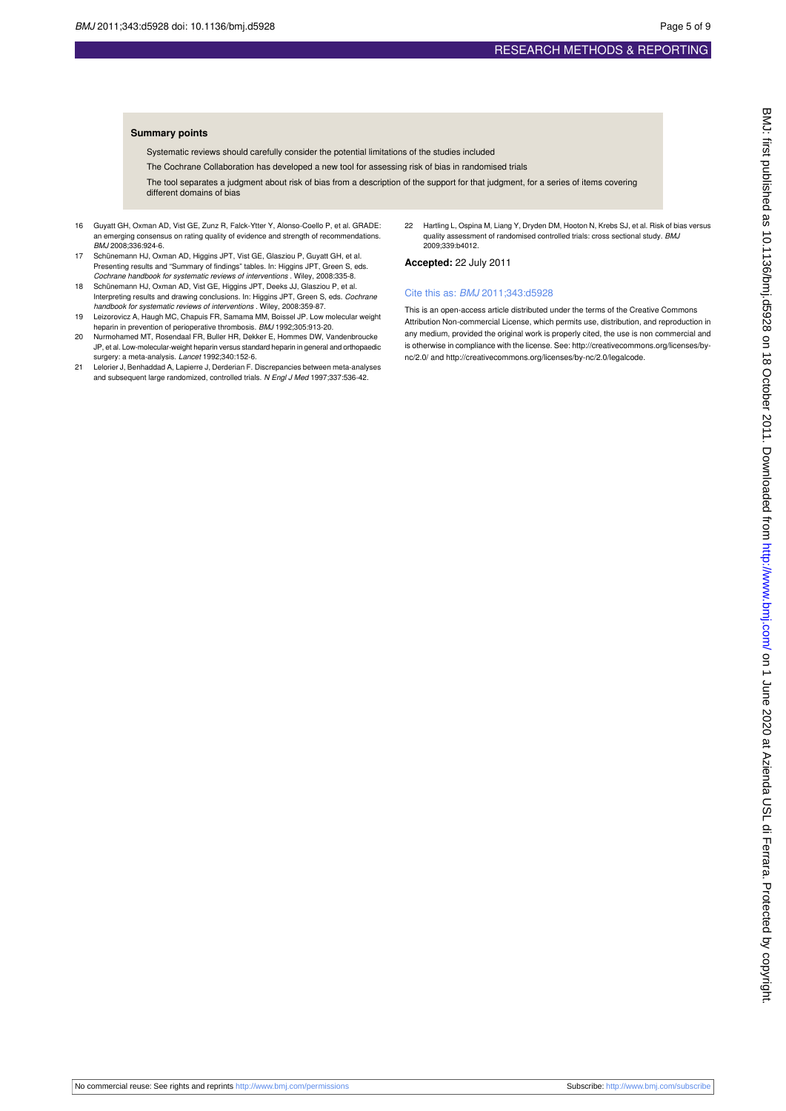#### **Summary points**

Systematic reviews should carefully consider the potential limitations of the studies included

The Cochrane Collaboration has developed a new tool for assessing risk of bias in randomised trials

The tool separates a judgment about risk of bias from a description of the support for that judgment, for a series of items covering different domains of bias

- 16 Guyatt GH, Oxman AD, Vist GE, Zunz R, Falck-Ytter Y, Alonso-Coello P, et al. GRADE: an emerging consensus on rating quality of evidence and strength of recommendations. BMJ 2008;336:924-6.
- 17 Schünemann HJ, Oxman AD, Higgins JPT, Vist GE, Glasziou P, Guyatt GH, et al. Presenting results and "Summary of findings" tables. In: Higgins JPT, Green S, eds. Cochrane handbook for systematic reviews of interventions . Wiley, 2008:335-8.
- 18 Schünemann HJ, Oxman AD, Vist GE, Higgins JPT, Deeks JJ, Glasziou P, et al. Interpreting results and drawing conclusions. In: Higgins JPT, Green S, eds. Cochrane handbook for systematic reviews of interventions . Wiley, 2008:359-87.
- 19 Leizorovicz A, Haugh MC, Chapuis FR, Samama MM, Boissel JP. Low molecular weight heparin in prevention of perioperative thrombosis. BMJ 1992;305:913-20.
- 20 Nurmohamed MT, Rosendaal FR, Buller HR, Dekker E, Hommes DW, Vandenbroucke JP, et al. Low-molecular-weight heparin versus standard heparin in general and orthopaedic surgery: a meta-analysis. Lancet 1992;340:152-6.
- 21 Lelorier J, Benhaddad A, Lapierre J, Derderian F. Discrepancies between meta-analyses and subsequent large randomized, controlled trials. N Engl J Med 1997;337:536-42.
- 22 Hartling L, Ospina M, Liang Y, Dryden DM, Hooton N, Krebs SJ, et al. Risk of bias versus quality assessment of randomised controlled trials: cross sectional study. BMJ 2009;339:b4012.

**Accepted:** 22 July 2011

#### Cite this as: BMJ 2011;343:d5928

This is an open-access article distributed under the terms of the Creative Commons Attribution Non-commercial License, which permits use, distribution, and reproduction in any medium, provided the original work is properly cited, the use is non commercial and is otherwise in compliance with the license. See: [http://creativecommons.org/licenses/by](http://creativecommons.org/licenses/by-nc/2.0/)[nc/2.0/](http://creativecommons.org/licenses/by-nc/2.0/) and<http://creativecommons.org/licenses/by-nc/2.0/legalcode>.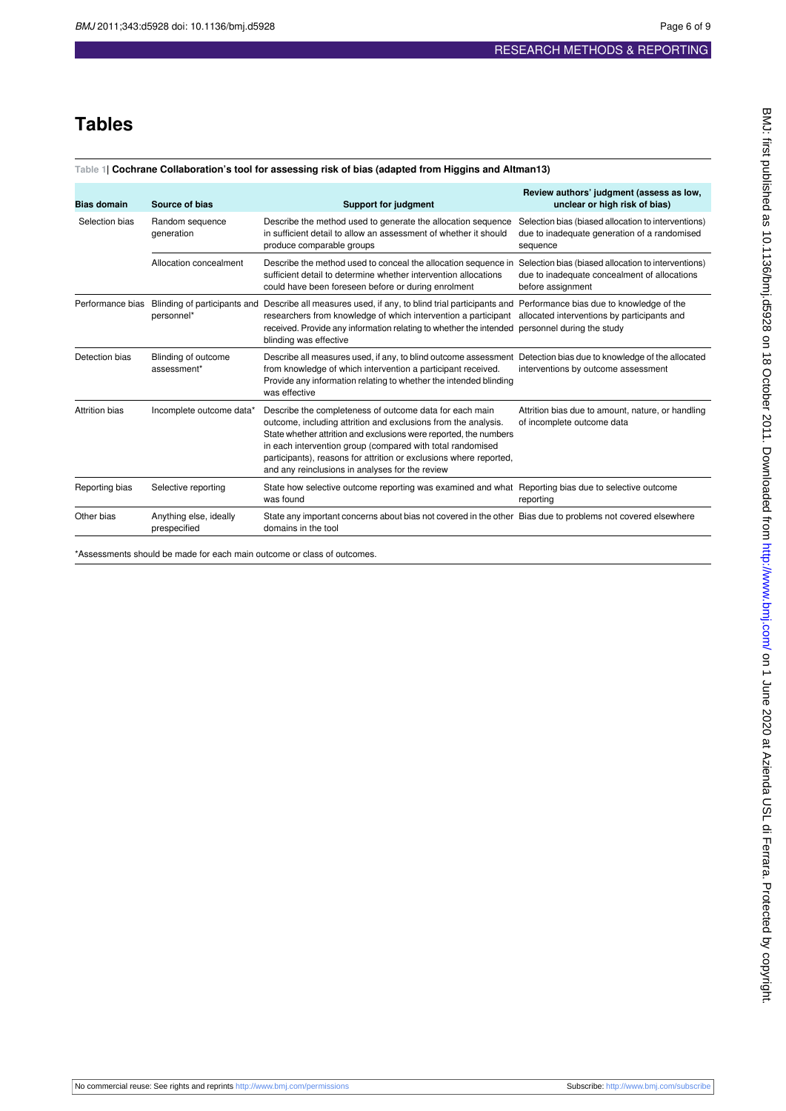### **Tables**

#### <span id="page-5-0"></span>**Table 1| Cochrane Collaboration's tool for assessing risk of bias (adapted from Higgins and Altman13)**

| <b>Bias domain</b> | Source of bias                             | <b>Support for judgment</b>                                                                                                                                                                                                                                                                                                                                                           | Review authors' judgment (assess as low,<br>unclear or high risk of bias)                                                |
|--------------------|--------------------------------------------|---------------------------------------------------------------------------------------------------------------------------------------------------------------------------------------------------------------------------------------------------------------------------------------------------------------------------------------------------------------------------------------|--------------------------------------------------------------------------------------------------------------------------|
| Selection bias     | Random sequence<br>generation              | Describe the method used to generate the allocation sequence<br>in sufficient detail to allow an assessment of whether it should<br>produce comparable groups                                                                                                                                                                                                                         | Selection bias (biased allocation to interventions)<br>due to inadequate generation of a randomised<br>sequence          |
|                    | Allocation concealment                     | Describe the method used to conceal the allocation sequence in<br>sufficient detail to determine whether intervention allocations<br>could have been foreseen before or during enrolment                                                                                                                                                                                              | Selection bias (biased allocation to interventions)<br>due to inadequate concealment of allocations<br>before assignment |
| Performance bias   | Blinding of participants and<br>personnel* | Describe all measures used, if any, to blind trial participants and<br>researchers from knowledge of which intervention a participant<br>received. Provide any information relating to whether the intended<br>blinding was effective                                                                                                                                                 | Performance bias due to knowledge of the<br>allocated interventions by participants and<br>personnel during the study    |
| Detection bias     | Blinding of outcome<br>assessment*         | Describe all measures used, if any, to blind outcome assessment<br>from knowledge of which intervention a participant received.<br>Provide any information relating to whether the intended blinding<br>was effective                                                                                                                                                                 | Detection bias due to knowledge of the allocated<br>interventions by outcome assessment                                  |
| Attrition bias     | Incomplete outcome data*                   | Describe the completeness of outcome data for each main<br>outcome, including attrition and exclusions from the analysis.<br>State whether attrition and exclusions were reported, the numbers<br>in each intervention group (compared with total randomised<br>participants), reasons for attrition or exclusions where reported,<br>and any reinclusions in analyses for the review | Attrition bias due to amount, nature, or handling<br>of incomplete outcome data                                          |
| Reporting bias     | Selective reporting                        | State how selective outcome reporting was examined and what Reporting bias due to selective outcome<br>was found                                                                                                                                                                                                                                                                      | reporting                                                                                                                |
| Other bias         | Anything else, ideally<br>prespecified     | State any important concerns about bias not covered in the other Bias due to problems not covered elsewhere<br>domains in the tool                                                                                                                                                                                                                                                    |                                                                                                                          |

\*Assessments should be made for each main outcome or class of outcomes.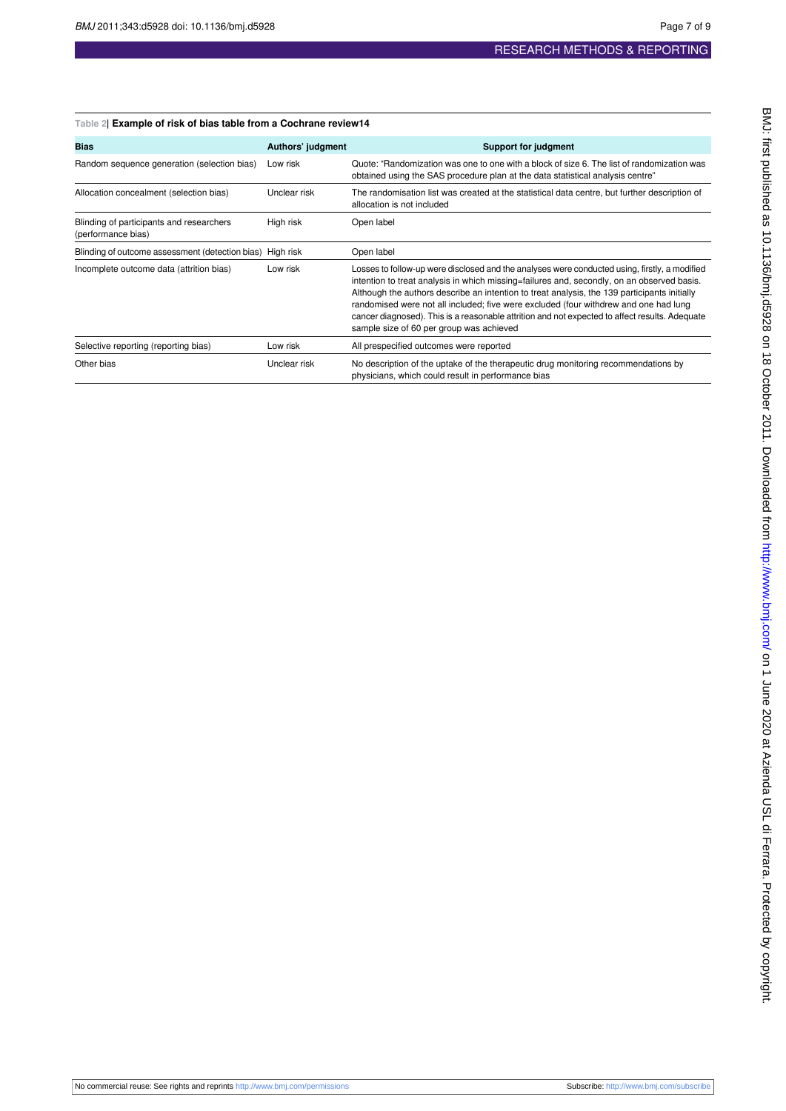### <span id="page-6-0"></span>**Table 2| Example of risk of bias table from a Cochrane review14**

| <b>Bias</b>                                                    | Authors' judgment | <b>Support for judgment</b>                                                                                                                                                                                                                                                                                                                                                                                                                                                                                                       |
|----------------------------------------------------------------|-------------------|-----------------------------------------------------------------------------------------------------------------------------------------------------------------------------------------------------------------------------------------------------------------------------------------------------------------------------------------------------------------------------------------------------------------------------------------------------------------------------------------------------------------------------------|
| Random sequence generation (selection bias)                    | Low risk          | Quote: "Randomization was one to one with a block of size 6. The list of randomization was<br>obtained using the SAS procedure plan at the data statistical analysis centre"                                                                                                                                                                                                                                                                                                                                                      |
| Allocation concealment (selection bias)                        | Unclear risk      | The randomisation list was created at the statistical data centre, but further description of<br>allocation is not included                                                                                                                                                                                                                                                                                                                                                                                                       |
| Blinding of participants and researchers<br>(performance bias) | High risk         | Open label                                                                                                                                                                                                                                                                                                                                                                                                                                                                                                                        |
| Blinding of outcome assessment (detection bias)                | High risk         | Open label                                                                                                                                                                                                                                                                                                                                                                                                                                                                                                                        |
| Incomplete outcome data (attrition bias)                       | Low risk          | Losses to follow-up were disclosed and the analyses were conducted using, firstly, a modified<br>intention to treat analysis in which missing=failures and, secondly, on an observed basis.<br>Although the authors describe an intention to treat analysis, the 139 participants initially<br>randomised were not all included; five were excluded (four withdrew and one had lung<br>cancer diagnosed). This is a reasonable attrition and not expected to affect results. Adequate<br>sample size of 60 per group was achieved |
| Selective reporting (reporting bias)                           | Low risk          | All prespecified outcomes were reported                                                                                                                                                                                                                                                                                                                                                                                                                                                                                           |
| Other bias                                                     | Unclear risk      | No description of the uptake of the therapeutic drug monitoring recommendations by<br>physicians, which could result in performance bias                                                                                                                                                                                                                                                                                                                                                                                          |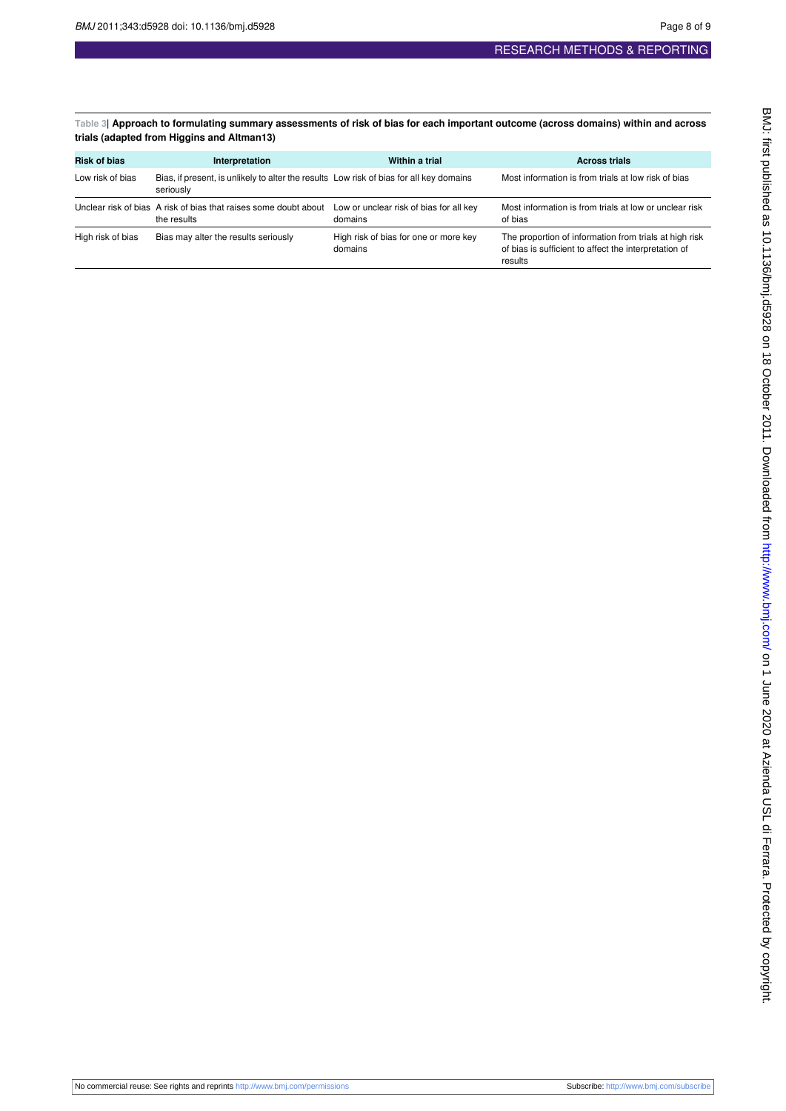<span id="page-7-0"></span>**Table 3| Approach to formulating summary assessments of risk of bias for each important outcome (across domains) within and across trials (adapted from Higgins and Altman13)**

| <b>Risk of bias</b> | Interpretation                                                                                       | Within a trial                                     | <b>Across trials</b>                                                                                                       |
|---------------------|------------------------------------------------------------------------------------------------------|----------------------------------------------------|----------------------------------------------------------------------------------------------------------------------------|
| Low risk of bias    | Bias, if present, is unlikely to alter the results Low risk of bias for all key domains<br>seriously |                                                    | Most information is from trials at low risk of bias                                                                        |
|                     | Unclear risk of bias A risk of bias that raises some doubt about<br>the results                      | Low or unclear risk of bias for all key<br>domains | Most information is from trials at low or unclear risk<br>of bias                                                          |
| High risk of bias   | Bias may alter the results seriously                                                                 | High risk of bias for one or more key<br>domains   | The proportion of information from trials at high risk<br>of bias is sufficient to affect the interpretation of<br>results |